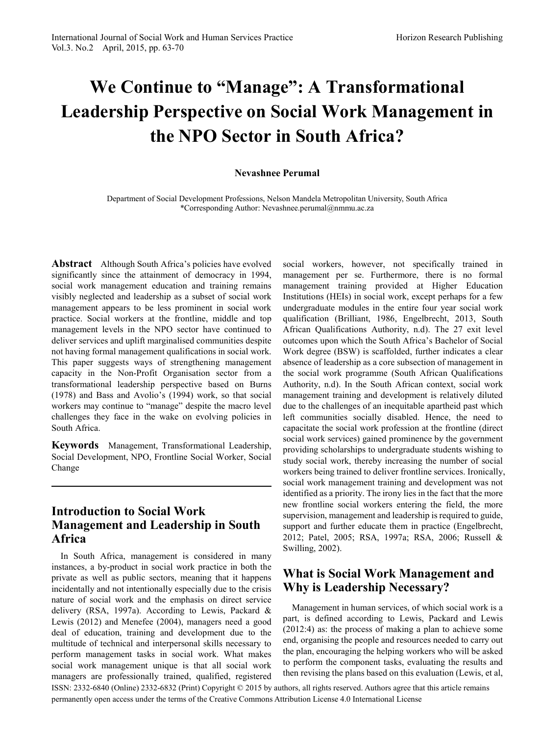# **We Continue to "Manage": A Transformational Leadership Perspective on Social Work Management in the NPO Sector in South Africa?**

#### **Nevashnee Perumal**

Department of Social Development Professions, Nelson Mandela Metropolitan University, South Africa \*Corresponding Author: Nevashnee.perumal@nmmu.ac.za

Abstract Although South Africa's policies have evolved significantly since the attainment of democracy in 1994, social work management education and training remains visibly neglected and leadership as a subset of social work management appears to be less prominent in social work practice. Social workers at the frontline, middle and top management levels in the NPO sector have continued to deliver services and uplift marginalised communities despite not having formal management qualifications in social work. This paper suggests ways of strengthening management capacity in the Non-Profit Organisation sector from a transformational leadership perspective based on Burns (1978) and Bass and Avolio's (1994) work, so that social workers may continue to "manage" despite the macro level challenges they face in the wake on evolving policies in South Africa.

**Keywords** Management, Transformational Leadership, Social Development, NPO, Frontline Social Worker, Social Change

## **Introduction to Social Work Management and Leadership in South Africa**

In South Africa, management is considered in many instances, a by-product in social work practice in both the private as well as public sectors, meaning that it happens incidentally and not intentionally especially due to the crisis nature of social work and the emphasis on direct service delivery (RSA, 1997a). According to Lewis, Packard & Lewis (2012) and Menefee (2004), managers need a good deal of education, training and development due to the multitude of technical and interpersonal skills necessary to perform management tasks in social work. What makes social work management unique is that all social work managers are professionally trained, qualified, registered

social workers, however, not specifically trained in management per se. Furthermore, there is no formal management training provided at Higher Education Institutions (HEIs) in social work, except perhaps for a few undergraduate modules in the entire four year social work qualification (Brilliant, 1986, Engelbrecht, 2013, South African Qualifications Authority, n.d). The 27 exit level outcomes upon which the South Africa's Bachelor of Social Work degree (BSW) is scaffolded, further indicates a clear absence of leadership as a core subsection of management in the social work programme (South African Qualifications Authority, n.d). In the South African context, social work management training and development is relatively diluted due to the challenges of an inequitable apartheid past which left communities socially disabled. Hence, the need to capacitate the social work profession at the frontline (direct social work services) gained prominence by the government providing scholarships to undergraduate students wishing to study social work, thereby increasing the number of social workers being trained to deliver frontline services. Ironically, social work management training and development was not identified as a priority. The irony lies in the fact that the more new frontline social workers entering the field, the more supervision, management and leadership is required to guide, support and further educate them in practice (Engelbrecht, 2012; Patel, 2005; RSA, 1997a; RSA, 2006; Russell & Swilling, 2002).

## **What is Social Work Management and Why is Leadership Necessary?**

Management in human services, of which social work is a part, is defined according to Lewis, Packard and Lewis (2012:4) as: the process of making a plan to achieve some end, organising the people and resources needed to carry out the plan, encouraging the helping workers who will be asked to perform the component tasks, evaluating the results and then revising the plans based on this evaluation (Lewis, et al,

ISSN: 2332-6840 (Online) 2332-6832 (Print) Copyright © 2015 by authors, all rights reserved. Authors agree that this article remains permanently open access under the terms of the Creative Commons Attribution License 4.0 International License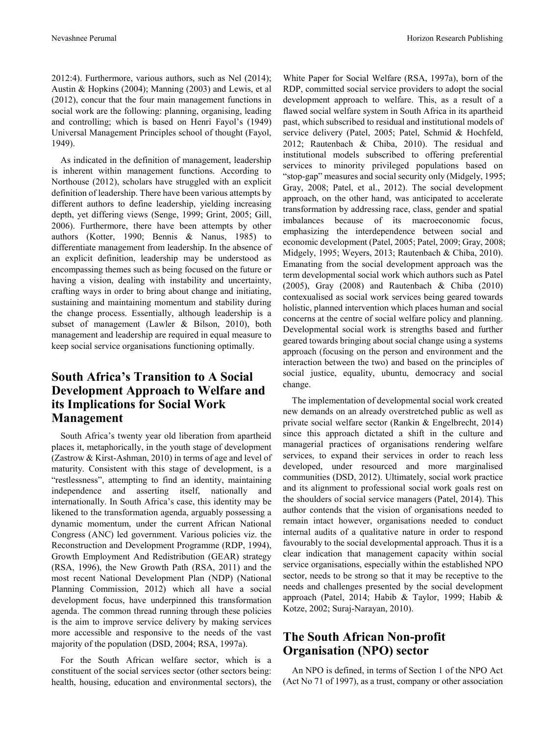2012:4). Furthermore, various authors, such as Nel (2014); Austin & Hopkins (2004); Manning (2003) and Lewis, et al (2012), concur that the four main management functions in social work are the following: planning, organising, leading and controlling; which is based on Henri Fayol's (1949) Universal Management Principles school of thought (Fayol, 1949).

As indicated in the definition of management, leadership is inherent within management functions. According to Northouse (2012), scholars have struggled with an explicit definition of leadership. There have been various attempts by different authors to define leadership, yielding increasing depth, yet differing views (Senge, 1999; Grint, 2005; Gill, 2006). Furthermore, there have been attempts by other authors (Kotter, 1990; Bennis & Nanus, 1985) to differentiate management from leadership. In the absence of an explicit definition, leadership may be understood as encompassing themes such as being focused on the future or having a vision, dealing with instability and uncertainty, crafting ways in order to bring about change and initiating, sustaining and maintaining momentum and stability during the change process. Essentially, although leadership is a subset of management (Lawler & Bilson, 2010), both management and leadership are required in equal measure to keep social service organisations functioning optimally.

# **South Africa's Transition to A Social Development Approach to Welfare and its Implications for Social Work Management**

South Africa's twenty year old liberation from apartheid places it, metaphorically, in the youth stage of development (Zastrow & Kirst-Ashman, 2010) in terms of age and level of maturity. Consistent with this stage of development, is a "restlessness", attempting to find an identity, maintaining independence and asserting itself, nationally and internationally. In South Africa's case, this identity may be likened to the transformation agenda, arguably possessing a dynamic momentum, under the current African National Congress (ANC) led government. Various policies viz. the Reconstruction and Development Programme (RDP, 1994), Growth Employment And Redistribution (GEAR) strategy (RSA, 1996), the New Growth Path (RSA, 2011) and the most recent National Development Plan (NDP) (National Planning Commission, 2012) which all have a social development focus, have underpinned this transformation agenda. The common thread running through these policies is the aim to improve service delivery by making services more accessible and responsive to the needs of the vast majority of the population (DSD, 2004; RSA, 1997a).

For the South African welfare sector, which is a constituent of the social services sector (other sectors being: health, housing, education and environmental sectors), the

White Paper for Social Welfare (RSA, 1997a), born of the RDP, committed social service providers to adopt the social development approach to welfare. This, as a result of a flawed social welfare system in South Africa in its apartheid past, which subscribed to residual and institutional models of service delivery (Patel, 2005; Patel, Schmid & Hochfeld, 2012; Rautenbach & Chiba, 2010). The residual and institutional models subscribed to offering preferential services to minority privileged populations based on "stop-gap" measures and social security only (Midgely, 1995; Gray, 2008; Patel, et al., 2012). The social development approach, on the other hand, was anticipated to accelerate transformation by addressing race, class, gender and spatial imbalances because of its macroeconomic focus, emphasizing the interdependence between social and economic development (Patel, 2005; Patel, 2009; Gray, 2008; Midgely, 1995; Weyers, 2013; Rautenbach & Chiba, 2010). Emanating from the social development approach was the term developmental social work which authors such as Patel (2005), Gray (2008) and Rautenbach & Chiba (2010) contexualised as social work services being geared towards holistic, planned intervention which places human and social concerns at the centre of social welfare policy and planning. Developmental social work is strengths based and further geared towards bringing about social change using a systems approach (focusing on the person and environment and the interaction between the two) and based on the principles of social justice, equality, ubuntu, democracy and social change.

The implementation of developmental social work created new demands on an already overstretched public as well as private social welfare sector (Rankin & Engelbrecht, 2014) since this approach dictated a shift in the culture and managerial practices of organisations rendering welfare services, to expand their services in order to reach less developed, under resourced and more marginalised communities (DSD, 2012). Ultimately, social work practice and its alignment to professional social work goals rest on the shoulders of social service managers (Patel, 2014). This author contends that the vision of organisations needed to remain intact however, organisations needed to conduct internal audits of a qualitative nature in order to respond favourably to the social developmental approach. Thus it is a clear indication that management capacity within social service organisations, especially within the established NPO sector, needs to be strong so that it may be receptive to the needs and challenges presented by the social development approach (Patel, 2014; Habib & Taylor, 1999; Habib & Kotze, 2002; Suraj-Narayan, 2010).

## **The South African Non-profit Organisation (NPO) sector**

An NPO is defined, in terms of Section 1 of the NPO Act (Act No 71 of 1997), as a trust, company or other association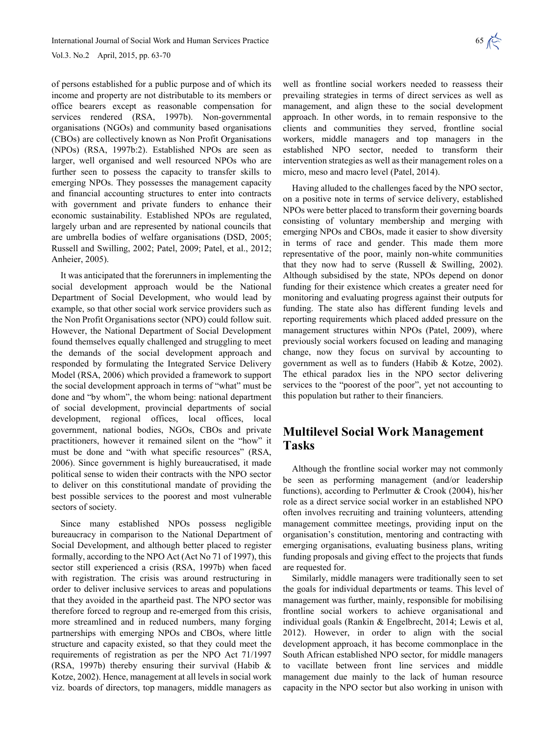Vol.3. No.2 April, 2015, pp. 63-70

of persons established for a public purpose and of which its income and property are not distributable to its members or office bearers except as reasonable compensation for services rendered (RSA, 1997b). Non-governmental organisations (NGOs) and community based organisations (CBOs) are collectively known as Non Profit Organisations (NPOs) (RSA, 1997b:2). Established NPOs are seen as larger, well organised and well resourced NPOs who are further seen to possess the capacity to transfer skills to emerging NPOs. They possesses the management capacity and financial accounting structures to enter into contracts with government and private funders to enhance their economic sustainability. Established NPOs are regulated, largely urban and are represented by national councils that are umbrella bodies of welfare organisations (DSD, 2005; Russell and Swilling, 2002; Patel, 2009; Patel, et al., 2012; Anheier, 2005).

It was anticipated that the forerunners in implementing the social development approach would be the National Department of Social Development, who would lead by example, so that other social work service providers such as the Non Profit Organisations sector (NPO) could follow suit. However, the National Department of Social Development found themselves equally challenged and struggling to meet the demands of the social development approach and responded by formulating the Integrated Service Delivery Model (RSA, 2006) which provided a framework to support the social development approach in terms of "what" must be done and "by whom", the whom being: national department of social development, provincial departments of social development, regional offices, local offices, local government, national bodies, NGOs, CBOs and private practitioners, however it remained silent on the "how" it must be done and "with what specific resources" (RSA, 2006). Since government is highly bureaucratised, it made political sense to widen their contracts with the NPO sector to deliver on this constitutional mandate of providing the best possible services to the poorest and most vulnerable sectors of society.

Since many established NPOs possess negligible bureaucracy in comparison to the National Department of Social Development, and although better placed to register formally, according to the NPO Act (Act No 71 of 1997), this sector still experienced a crisis (RSA, 1997b) when faced with registration. The crisis was around restructuring in order to deliver inclusive services to areas and populations that they avoided in the apartheid past. The NPO sector was therefore forced to regroup and re-emerged from this crisis, more streamlined and in reduced numbers, many forging partnerships with emerging NPOs and CBOs, where little structure and capacity existed, so that they could meet the requirements of registration as per the NPO Act 71/1997 (RSA, 1997b) thereby ensuring their survival (Habib & Kotze, 2002). Hence, management at all levels in social work viz. boards of directors, top managers, middle managers as

well as frontline social workers needed to reassess their prevailing strategies in terms of direct services as well as management, and align these to the social development approach. In other words, in to remain responsive to the clients and communities they served, frontline social workers, middle managers and top managers in the established NPO sector, needed to transform their intervention strategies as well as their management roles on a micro, meso and macro level (Patel, 2014).

Having alluded to the challenges faced by the NPO sector, on a positive note in terms of service delivery, established NPOs were better placed to transform their governing boards consisting of voluntary membership and merging with emerging NPOs and CBOs, made it easier to show diversity in terms of race and gender. This made them more representative of the poor, mainly non-white communities that they now had to serve (Russell  $&$  Swilling, 2002). Although subsidised by the state, NPOs depend on donor funding for their existence which creates a greater need for monitoring and evaluating progress against their outputs for funding. The state also has different funding levels and reporting requirements which placed added pressure on the management structures within NPOs (Patel, 2009), where previously social workers focused on leading and managing change, now they focus on survival by accounting to government as well as to funders (Habib & Kotze, 2002). The ethical paradox lies in the NPO sector delivering services to the "poorest of the poor", yet not accounting to this population but rather to their financiers.

## **Multilevel Social Work Management Tasks**

Although the frontline social worker may not commonly be seen as performing management (and/or leadership functions), according to Perlmutter & Crook (2004), his/her role as a direct service social worker in an established NPO often involves recruiting and training volunteers, attending management committee meetings, providing input on the organisation's constitution, mentoring and contracting with emerging organisations, evaluating business plans, writing funding proposals and giving effect to the projects that funds are requested for.

Similarly, middle managers were traditionally seen to set the goals for individual departments or teams. This level of management was further, mainly, responsible for mobilising frontline social workers to achieve organisational and individual goals (Rankin & Engelbrecht, 2014; Lewis et al, 2012). However, in order to align with the social development approach, it has become commonplace in the South African established NPO sector, for middle managers to vacillate between front line services and middle management due mainly to the lack of human resource capacity in the NPO sector but also working in unison with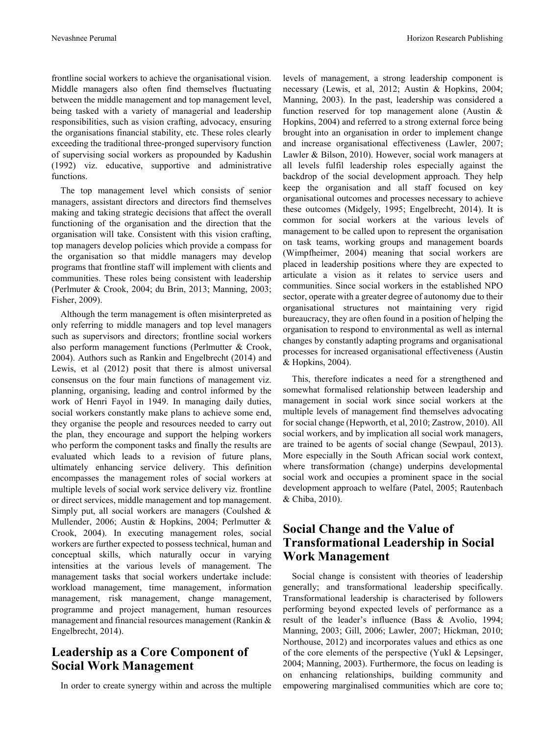frontline social workers to achieve the organisational vision. Middle managers also often find themselves fluctuating between the middle management and top management level, being tasked with a variety of managerial and leadership responsibilities, such as vision crafting, advocacy, ensuring the organisations financial stability, etc. These roles clearly exceeding the traditional three-pronged supervisory function of supervising social workers as propounded by Kadushin (1992) viz. educative, supportive and administrative functions.

The top management level which consists of senior managers, assistant directors and directors find themselves making and taking strategic decisions that affect the overall functioning of the organisation and the direction that the organisation will take. Consistent with this vision crafting, top managers develop policies which provide a compass for the organisation so that middle managers may develop programs that frontline staff will implement with clients and communities. These roles being consistent with leadership (Perlmuter & Crook, 2004; du Brin, 2013; Manning, 2003; Fisher, 2009).

Although the term management is often misinterpreted as only referring to middle managers and top level managers such as supervisors and directors; frontline social workers also perform management functions (Perlmutter & Crook, 2004). Authors such as Rankin and Engelbrecht (2014) and Lewis, et al (2012) posit that there is almost universal consensus on the four main functions of management viz. planning, organising, leading and control informed by the work of Henri Fayol in 1949. In managing daily duties, social workers constantly make plans to achieve some end, they organise the people and resources needed to carry out the plan, they encourage and support the helping workers who perform the component tasks and finally the results are evaluated which leads to a revision of future plans, ultimately enhancing service delivery. This definition encompasses the management roles of social workers at multiple levels of social work service delivery viz. frontline or direct services, middle management and top management. Simply put, all social workers are managers (Coulshed & Mullender, 2006; Austin & Hopkins, 2004; Perlmutter & Crook, 2004). In executing management roles, social workers are further expected to possess technical, human and conceptual skills, which naturally occur in varying intensities at the various levels of management. The management tasks that social workers undertake include: workload management, time management, information management, risk management, change management, programme and project management, human resources management and financial resources management (Rankin & Engelbrecht, 2014).

## **Leadership as a Core Component of Social Work Management**

In order to create synergy within and across the multiple

levels of management, a strong leadership component is necessary (Lewis, et al, 2012; Austin & Hopkins, 2004; Manning, 2003). In the past, leadership was considered a function reserved for top management alone (Austin & Hopkins, 2004) and referred to a strong external force being brought into an organisation in order to implement change and increase organisational effectiveness (Lawler, 2007; Lawler & Bilson, 2010). However, social work managers at all levels fulfil leadership roles especially against the backdrop of the social development approach. They help keep the organisation and all staff focused on key organisational outcomes and processes necessary to achieve these outcomes (Midgely, 1995; Engelbrecht, 2014). It is common for social workers at the various levels of management to be called upon to represent the organisation on task teams, working groups and management boards (Wimpfheimer, 2004) meaning that social workers are placed in leadership positions where they are expected to articulate a vision as it relates to service users and communities. Since social workers in the established NPO sector, operate with a greater degree of autonomy due to their organisational structures not maintaining very rigid bureaucracy, they are often found in a position of helping the organisation to respond to environmental as well as internal changes by constantly adapting programs and organisational processes for increased organisational effectiveness (Austin & Hopkins, 2004).

This, therefore indicates a need for a strengthened and somewhat formalised relationship between leadership and management in social work since social workers at the multiple levels of management find themselves advocating for social change (Hepworth, et al, 2010; Zastrow, 2010). All social workers, and by implication all social work managers, are trained to be agents of social change (Sewpaul, 2013). More especially in the South African social work context, where transformation (change) underpins developmental social work and occupies a prominent space in the social development approach to welfare (Patel, 2005; Rautenbach & Chiba, 2010).

## **Social Change and the Value of Transformational Leadership in Social Work Management**

Social change is consistent with theories of leadership generally; and transformational leadership specifically. Transformational leadership is characterised by followers performing beyond expected levels of performance as a result of the leader's influence (Bass & Avolio, 1994; Manning, 2003; Gill, 2006; Lawler, 2007; Hickman, 2010; Northouse, 2012) and incorporates values and ethics as one of the core elements of the perspective (Yukl & Lepsinger, 2004; Manning, 2003). Furthermore, the focus on leading is on enhancing relationships, building community and empowering marginalised communities which are core to;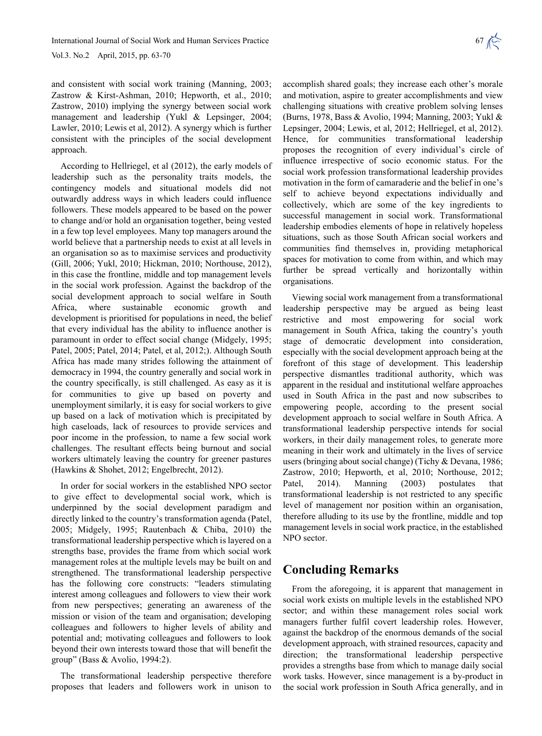Vol.3. No.2 April, 2015, pp. 63-70

and consistent with social work training (Manning, 2003; Zastrow & Kirst-Ashman, 2010; Hepworth, et al., 2010; Zastrow, 2010) implying the synergy between social work management and leadership (Yukl & Lepsinger, 2004; Lawler, 2010; Lewis et al, 2012). A synergy which is further consistent with the principles of the social development approach.

According to Hellriegel, et al (2012), the early models of leadership such as the personality traits models, the contingency models and situational models did not outwardly address ways in which leaders could influence followers. These models appeared to be based on the power to change and/or hold an organisation together, being vested in a few top level employees. Many top managers around the world believe that a partnership needs to exist at all levels in an organisation so as to maximise services and productivity (Gill, 2006; Yukl, 2010; Hickman, 2010; Northouse, 2012), in this case the frontline, middle and top management levels in the social work profession. Against the backdrop of the social development approach to social welfare in South Africa, where sustainable economic growth and development is prioritised for populations in need, the belief that every individual has the ability to influence another is paramount in order to effect social change (Midgely, 1995; Patel, 2005; Patel, 2014; Patel, et al, 2012;). Although South Africa has made many strides following the attainment of democracy in 1994, the country generally and social work in the country specifically, is still challenged. As easy as it is for communities to give up based on poverty and unemployment similarly, it is easy for social workers to give up based on a lack of motivation which is precipitated by high caseloads, lack of resources to provide services and poor income in the profession, to name a few social work challenges. The resultant effects being burnout and social workers ultimately leaving the country for greener pastures (Hawkins & Shohet, 2012; Engelbrecht, 2012).

In order for social workers in the established NPO sector to give effect to developmental social work, which is underpinned by the social development paradigm and directly linked to the country's transformation agenda (Patel, 2005; Midgely, 1995; Rautenbach & Chiba, 2010) the transformational leadership perspective which is layered on a strengths base, provides the frame from which social work management roles at the multiple levels may be built on and strengthened. The transformational leadership perspective has the following core constructs: "leaders stimulating interest among colleagues and followers to view their work from new perspectives; generating an awareness of the mission or vision of the team and organisation; developing colleagues and followers to higher levels of ability and potential and; motivating colleagues and followers to look beyond their own interests toward those that will benefit the group" (Bass & Avolio, 1994:2).

The transformational leadership perspective therefore proposes that leaders and followers work in unison to

accomplish shared goals; they increase each other's morale and motivation, aspire to greater accomplishments and view challenging situations with creative problem solving lenses (Burns, 1978, Bass & Avolio, 1994; Manning, 2003; Yukl & Lepsinger, 2004; Lewis, et al, 2012; Hellriegel, et al, 2012). Hence, for communities transformational leadership proposes the recognition of every individual's circle of influence irrespective of socio economic status. For the social work profession transformational leadership provides motivation in the form of camaraderie and the belief in one's self to achieve beyond expectations individually and collectively, which are some of the key ingredients to successful management in social work. Transformational leadership embodies elements of hope in relatively hopeless situations, such as those South African social workers and communities find themselves in, providing metaphorical spaces for motivation to come from within, and which may further be spread vertically and horizontally within organisations.

Viewing social work management from a transformational leadership perspective may be argued as being least restrictive and most empowering for social work management in South Africa, taking the country's youth stage of democratic development into consideration, especially with the social development approach being at the forefront of this stage of development. This leadership perspective dismantles traditional authority, which was apparent in the residual and institutional welfare approaches used in South Africa in the past and now subscribes to empowering people, according to the present social development approach to social welfare in South Africa. A transformational leadership perspective intends for social workers, in their daily management roles, to generate more meaning in their work and ultimately in the lives of service users (bringing about social change) (Tichy & Devana, 1986; Zastrow, 2010; Hepworth, et al, 2010; Northouse, 2012; Patel, 2014). Manning (2003) postulates that transformational leadership is not restricted to any specific level of management nor position within an organisation, therefore alluding to its use by the frontline, middle and top management levels in social work practice, in the established NPO sector.

#### **Concluding Remarks**

From the aforegoing, it is apparent that management in social work exists on multiple levels in the established NPO sector; and within these management roles social work managers further fulfil covert leadership roles. However, against the backdrop of the enormous demands of the social development approach, with strained resources, capacity and direction; the transformational leadership perspective provides a strengths base from which to manage daily social work tasks. However, since management is a by-product in the social work profession in South Africa generally, and in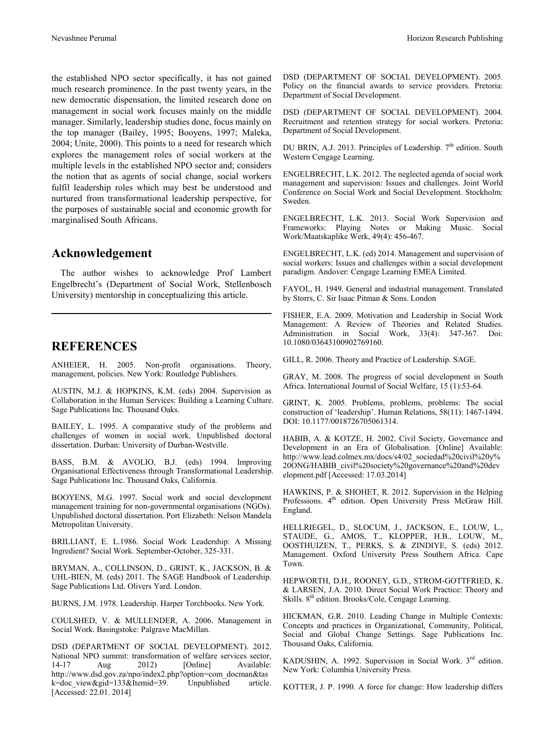the established NPO sector specifically, it has not gained much research prominence. In the past twenty years, in the new democratic dispensation, the limited research done on management in social work focuses mainly on the middle manager. Similarly, leadership studies done, focus mainly on the top manager (Bailey, 1995; Booyens, 1997; Maleka, 2004; Unite, 2000). This points to a need for research which explores the management roles of social workers at the multiple levels in the established NPO sector and; considers the notion that as agents of social change, social workers fulfil leadership roles which may best be understood and nurtured from transformational leadership perspective, for the purposes of sustainable social and economic growth for marginalised South Africans.

#### **Acknowledgement**

The author wishes to acknowledge Prof Lambert Engelbrecht's (Department of Social Work, Stellenbosch University) mentorship in conceptualizing this article.

#### **REFERENCES**

ANHEIER, H. 2005. Non-profit organisations. Theory, management, policies. New York: Routledge Publishers.

AUSTIN, M.J. & HOPKINS, K.M. (eds) 2004. Supervision as Collaboration in the Human Services: Building a Learning Culture. Sage Publications Inc. Thousand Oaks.

BAILEY, L. 1995. A comparative study of the problems and challenges of women in social work. Unpublished doctoral dissertation. Durban: University of Durban-Westville.

BASS, B.M. & AVOLIO, B.J. (eds) 1994. Improving Organisational Effectiveness through Transformational Leadership. Sage Publications Inc. Thousand Oaks, California.

BOOYENS, M.G. 1997. Social work and social development management training for non-governmental organisations (NGOs). Unpublished doctoral dissertation. Port Elizabeth: Nelson Mandela Metropolitan University.

BRILLIANT, E. L.1986. Social Work Leadership: A Missing Ingredient? Social Work. September-October, 325-331.

BRYMAN, A., COLLINSON, D., GRINT, K., JACKSON, B. & UHL-BIEN, M. (eds) 2011. The SAGE Handbook of Leadership. Sage Publications Ltd. Olivers Yard. London.

BURNS, J.M. 1978. Leadership. Harper Torchbooks. New York.

COULSHED, V. & MULLENDER, A. 2006. Management in Social Work. Basingstoke: Palgrave MacMillan.

DSD (DEPARTMENT OF SOCIAL DEVELOPMENT). 2012. National NPO summit: transformation of welfare services sector, 14-17 Aug 2012) [Online] Available: http://www.dsd.gov.za/npo/index2.php?option=com\_docman&tas k=doc\_view&gid=133&Itemid=39. Unpublished article. [Accessed: 22.01. 2014]

DSD (DEPARTMENT OF SOCIAL DEVELOPMENT). 2005. Policy on the financial awards to service providers. Pretoria: Department of Social Development.

DSD (DEPARTMENT OF SOCIAL DEVELOPMENT). 2004. Recruitment and retention strategy for social workers. Pretoria: Department of Social Development.

DU BRIN, A.J. 2013. Principles of Leadership.  $7<sup>th</sup>$  edition. South Western Cengage Learning.

ENGELBRECHT, L.K. 2012. The neglected agenda of social work management and supervision: Issues and challenges. Joint World Conference on Social Work and Social Development. Stockholm: Sweden.

ENGELBRECHT, L.K. 2013. Social Work Supervision and Frameworks: Playing Notes or Making Music. Social Work/Maatskaplike Werk, 49(4): 456-467.

ENGELBRECHT, L.K. (ed) 2014. Management and supervision of social workers: Issues and challenges within a social development paradigm. Andover: Cengage Learning EMEA Limited.

FAYOL, H. 1949. General and industrial management. Translated by Storrs, C. Sir Isaac Pitman & Sons. London

FISHER, E.A. 2009. Motivation and Leadership in Social Work Management: A Review of Theories and Related Studies. Administration in Social Work, 33(4): 347-367. Doi: 10.1080/03643100902769160.

GILL, R. 2006. Theory and Practice of Leadership. SAGE.

GRAY, M. 2008. The progress of social development in South Africa. International Journal of Social Welfare, 15 (1):53-64.

GRINT, K. 2005. Problems, problems, problems: The social construction of 'leadership'. Human Relations, 58(11): 1467-1494. DOI: 10.1177/0018726705061314.

HABIB, A. & KOTZE, H. 2002. Civil Society, Governance and Development in an Era of Globalisation. [Online] Available: http://www.lead.colmex.mx/docs/s4/02\_sociedad%20civil%20y% 20ONG/HABIB\_civil%20society%20governance%20and%20dev elopment.pdf [Accessed: 17.03.2014]

HAWKINS, P. & SHOHET, R. 2012. Supervision in the Helping Professions. 4<sup>th</sup> edition. Open University Press McGraw Hill. England.

HELLRIEGEL, D., SLOCUM, J., JACKSON, E., LOUW, L., STAUDE, G., AMOS, T., KLOPPER, H.B., LOUW, M., OOSTHUIZEN, T., PERKS, S. & ZINDIYE, S. (eds) 2012. Management. Oxford University Press Southern Africa. Cape Town.

HEPWORTH, D.H., ROONEY, G.D., STROM-GOTTFRIED, K. & LARSEN, J.A. 2010. Direct Social Work Practice: Theory and Skills. 8<sup>th</sup> edition. Brooks/Cole, Cengage Learning.

HICKMAN, G.R. 2010. Leading Change in Multiple Contexts: Concepts and practices in Organizational, Community, Political, Social and Global Change Settings. Sage Publications Inc. Thousand Oaks, California.

KADUSHIN, A. 1992. Supervision in Social Work. 3<sup>rd</sup> edition. New York: Columbia University Press.

KOTTER, J. P. 1990. A force for change: How leadership differs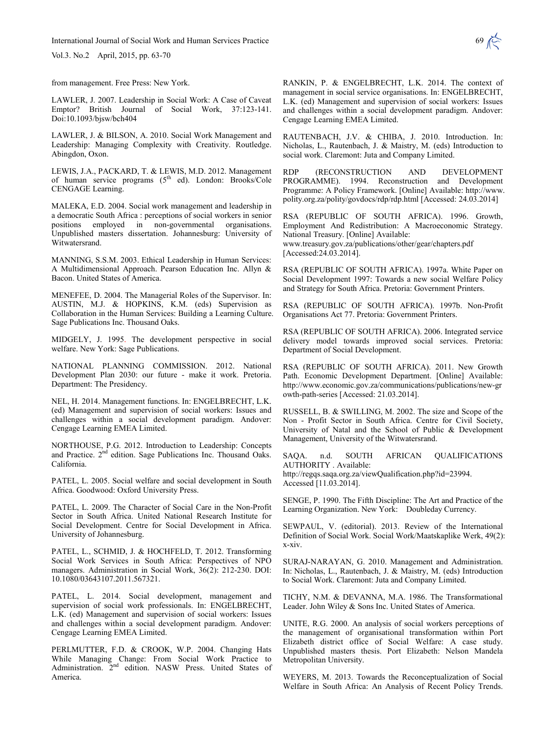International Journal of Social Work and Human Services Practice 69 (69)

Vol.3. No.2 April, 2015, pp. 63-70

from management. Free Press: New York.

LAWLER, J. 2007. Leadership in Social Work: A Case of Caveat Emptor? British Journal of Social Work, 37:123-141. Doi:10.1093/bjsw/bch404

LAWLER, J. & BILSON, A. 2010. Social Work Management and Leadership: Managing Complexity with Creativity. Routledge. Abingdon, Oxon.

LEWIS, J.A., PACKARD, T. & LEWIS, M.D. 2012. Management of human service programs (5<sup>th</sup> ed). London: Brooks/Cole CENGAGE Learning.

MALEKA, E.D. 2004. Social work management and leadership in a democratic South Africa : perceptions of social workers in senior positions employed in non-governmental organisations. Unpublished masters dissertation. Johannesburg: University of Witwatersrand.

MANNING, S.S.M. 2003. Ethical Leadership in Human Services: A Multidimensional Approach. Pearson Education Inc. Allyn & Bacon. United States of America.

MENEFEE, D. 2004. The Managerial Roles of the Supervisor. In: AUSTIN, M.J. & HOPKINS, K.M. (eds) Supervision as Collaboration in the Human Services: Building a Learning Culture. Sage Publications Inc. Thousand Oaks.

MIDGELY, J. 1995. The development perspective in social welfare. New York: Sage Publications.

NATIONAL PLANNING COMMISSION. 2012. National Development Plan 2030: our future - make it work. Pretoria. Department: The Presidency.

NEL, H. 2014. Management functions. In: ENGELBRECHT, L.K. (ed) Management and supervision of social workers: Issues and challenges within a social development paradigm. Andover: Cengage Learning EMEA Limited.

NORTHOUSE, P.G. 2012. Introduction to Leadership: Concepts and Practice. 2<sup>nd</sup> edition. Sage Publications Inc. Thousand Oaks. California.

PATEL, L. 2005. Social welfare and social development in South Africa. Goodwood: Oxford University Press.

PATEL, L. 2009. The Character of Social Care in the Non-Profit Sector in South Africa. United National Research Institute for Social Development. Centre for Social Development in Africa. University of Johannesburg.

PATEL, L., SCHMID, J. & HOCHFELD, T. 2012. Transforming Social Work Services in South Africa: Perspectives of NPO managers. Administration in Social Work, 36(2): 212-230. DOI: 10.1080/03643107.2011.567321.

PATEL, L. 2014. Social development, management and supervision of social work professionals. In: ENGELBRECHT, L.K. (ed) Management and supervision of social workers: Issues and challenges within a social development paradigm. Andover: Cengage Learning EMEA Limited.

PERLMUTTER, F.D. & CROOK, W.P. 2004. Changing Hats While Managing Change: From Social Work Practice to Administration. 2<sup>nd</sup> edition. NASW Press. United States of America.

RANKIN, P. & ENGELBRECHT, L.K. 2014. The context of management in social service organisations. In: ENGELBRECHT, L.K. (ed) Management and supervision of social workers: Issues and challenges within a social development paradigm. Andover: Cengage Learning EMEA Limited.

RAUTENBACH, J.V. & CHIBA, J. 2010. Introduction. In: Nicholas, L., Rautenbach, J. & Maistry, M. (eds) Introduction to social work. Claremont: Juta and Company Limited.

RDP (RECONSTRUCTION AND DEVELOPMENT PROGRAMME). 1994. Reconstruction and Development Programme: A Policy Framework. [Online] Available: http://www. polity.org.za/polity/govdocs/rdp/rdp.html [Accessed: 24.03.2014]

RSA (REPUBLIC OF SOUTH AFRICA). 1996. Growth, Employment And Redistribution: A Macroeconomic Strategy. National Treasury. [Online] Available: www.treasury.gov.za/publications/other/gear/chapters.pdf

[Accessed:24.03.2014].

RSA (REPUBLIC OF SOUTH AFRICA). 1997a. White Paper on Social Development 1997: Towards a new social Welfare Policy and Strategy for South Africa. Pretoria: Government Printers.

RSA (REPUBLIC OF SOUTH AFRICA). 1997b. Non-Profit Organisations Act 77. Pretoria: Government Printers.

RSA (REPUBLIC OF SOUTH AFRICA). 2006. Integrated service delivery model towards improved social services. Pretoria: Department of Social Development.

RSA (REPUBLIC OF SOUTH AFRICA). 2011. New Growth Path. Economic Development Department. [Online] Available: http://www.economic.gov.za/communications/publications/new-gr owth-path-series [Accessed: 21.03.2014].

RUSSELL, B. & SWILLING, M. 2002. The size and Scope of the Non - Profit Sector in South Africa. Centre for Civil Society, University of Natal and the School of Public & Development Management, University of the Witwatersrand.

SAQA. n.d. SOUTH AFRICAN QUALIFICATIONS AUTHORITY . Available: http://regqs.saqa.org.za/viewQualification.php?id=23994. Accessed [11.03.2014].

SENGE, P. 1990. The Fifth Discipline: The Art and Practice of the Learning Organization. New York: Doubleday Currency.

SEWPAUL, V. (editorial). 2013. Review of the International Definition of Social Work. Social Work/Maatskaplike Werk, 49(2): x-xiv.

SURAJ-NARAYAN, G. 2010. Management and Administration. In: Nicholas, L., Rautenbach, J. & Maistry, M. (eds) Introduction to Social Work. Claremont: Juta and Company Limited.

TICHY, N.M. & DEVANNA, M.A. 1986. The Transformational Leader. John Wiley & Sons Inc. United States of America.

UNITE, R.G. 2000. An analysis of social workers perceptions of the management of organisational transformation within Port Elizabeth district office of Social Welfare: A case study. Unpublished masters thesis. Port Elizabeth: Nelson Mandela Metropolitan University.

WEYERS, M. 2013. Towards the Reconceptualization of Social Welfare in South Africa: An Analysis of Recent Policy Trends.